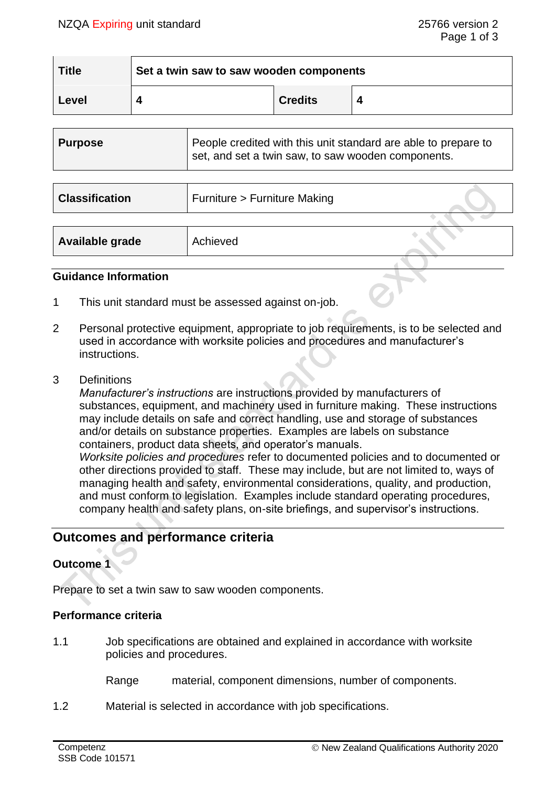| <b>Title</b> | Set a twin saw to saw wooden components |                |  |
|--------------|-----------------------------------------|----------------|--|
| Level        |                                         | <b>Credits</b> |  |

| <b>Purpose</b>        | People credited with this unit standard are able to prepare to<br>set, and set a twin saw, to saw wooden components. |  |  |
|-----------------------|----------------------------------------------------------------------------------------------------------------------|--|--|
|                       |                                                                                                                      |  |  |
| <b>Classification</b> | Furniture > Furniture Making                                                                                         |  |  |

| Available grade | Achieved |  |
|-----------------|----------|--|
|                 |          |  |

#### **Guidance Information**

- 1 This unit standard must be assessed against on-job.
- 2 Personal protective equipment, appropriate to job requirements, is to be selected and used in accordance with worksite policies and procedures and manufacturer's instructions.
- 3 Definitions

*Manufacturer's instructions* are instructions provided by manufacturers of substances, equipment, and machinery used in furniture making. These instructions may include details on safe and correct handling, use and storage of substances and/or details on substance properties. Examples are labels on substance containers, product data sheets, and operator's manuals. *Worksite policies and procedures* refer to documented policies and to documented or other directions provided to staff. These may include, but are not limited to, ways of managing health and safety, environmental considerations, quality, and production, and must conform to legislation. Examples include standard operating procedures, company health and safety plans, on-site briefings, and supervisor's instructions.

# **Outcomes and performance criteria**

## **Outcome 1**

Prepare to set a twin saw to saw wooden components.

#### **Performance criteria**

1.1 Job specifications are obtained and explained in accordance with worksite policies and procedures.

Range material, component dimensions, number of components.

1.2 Material is selected in accordance with job specifications.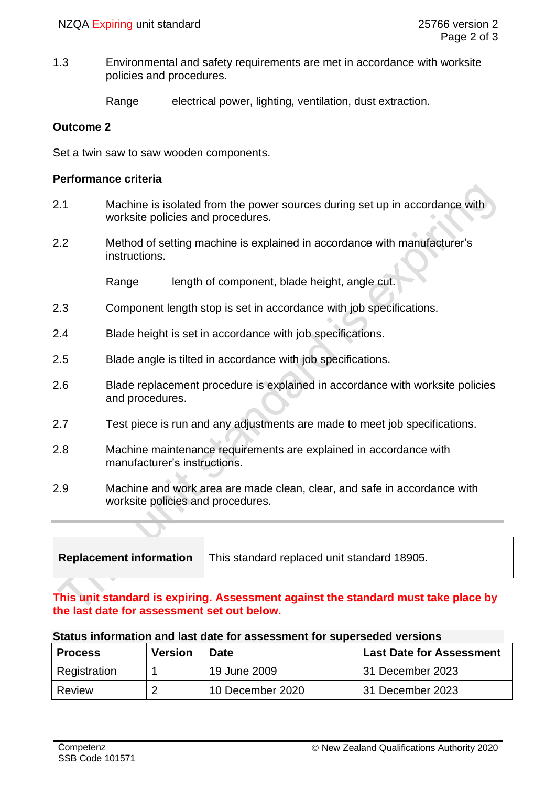1.3 Environmental and safety requirements are met in accordance with worksite policies and procedures.

Range electrical power, lighting, ventilation, dust extraction.

### **Outcome 2**

Set a twin saw to saw wooden components.

### **Performance criteria**

- 2.1 Machine is isolated from the power sources during set up in accordance with worksite policies and procedures.
- 2.2 Method of setting machine is explained in accordance with manufacturer's instructions.

Range length of component, blade height, angle cut.

- 2.3 Component length stop is set in accordance with job specifications.
- 2.4 Blade height is set in accordance with job specifications.
- 2.5 Blade angle is tilted in accordance with job specifications.
- 2.6 Blade replacement procedure is explained in accordance with worksite policies and procedures.
- 2.7 Test piece is run and any adjustments are made to meet job specifications.
- 2.8 Machine maintenance requirements are explained in accordance with manufacturer's instructions.
- 2.9 Machine and work area are made clean, clear, and safe in accordance with worksite policies and procedures.

## **This unit standard is expiring. Assessment against the standard must take place by the last date for assessment set out below.**

| Status information and last date for assessment for superseded versions |  |  |  |
|-------------------------------------------------------------------------|--|--|--|
|                                                                         |  |  |  |

| <b>Process</b> | <b>Version</b> | <b>Date</b>      | <b>Last Date for Assessment</b> |
|----------------|----------------|------------------|---------------------------------|
| Registration   |                | 19 June 2009     | 31 December 2023                |
| Review         | 2              | 10 December 2020 | 31 December 2023                |